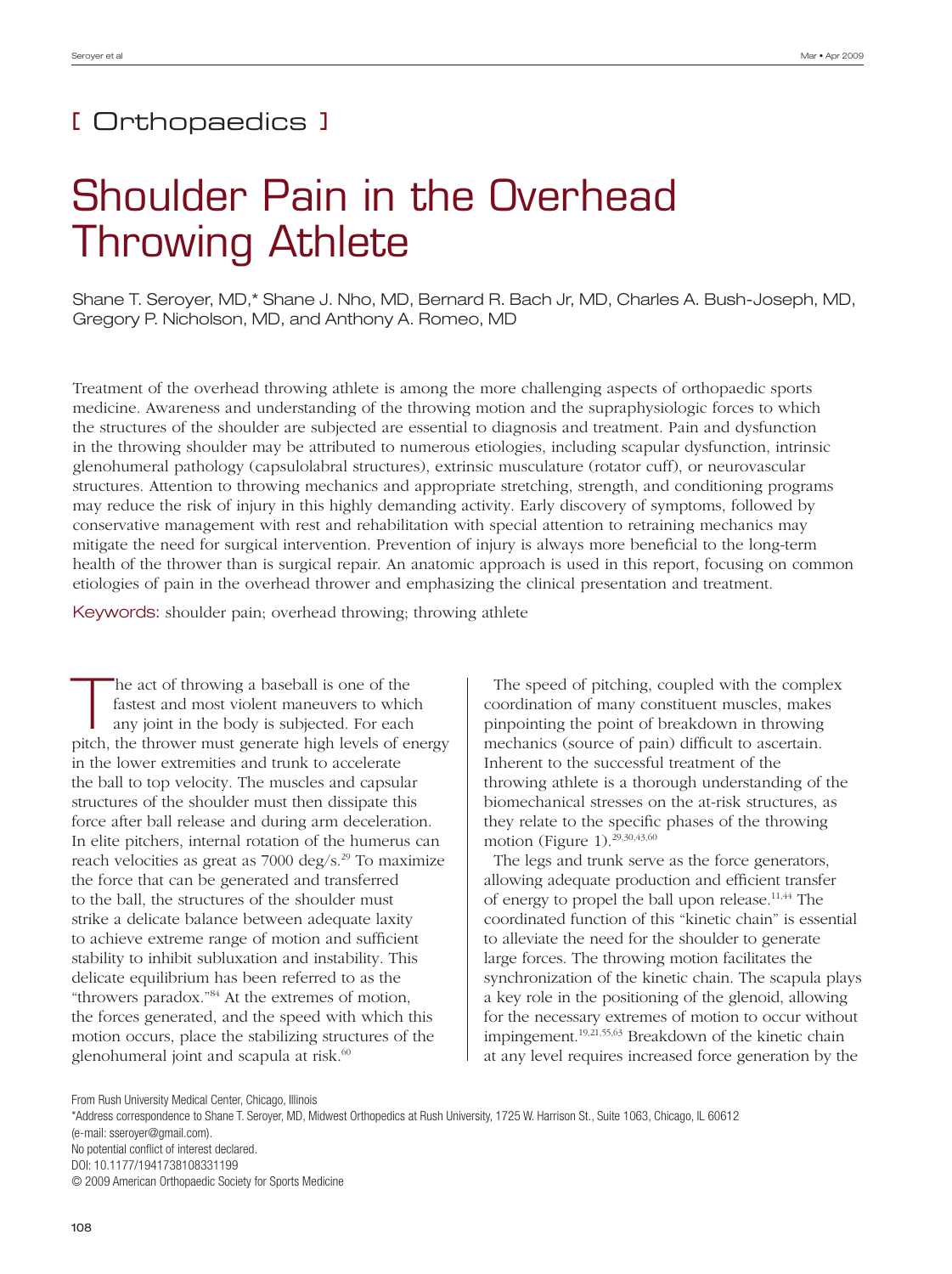# [ Orthopaedics ]

# Shoulder Pain in the Overhead Throwing Athlete

Shane T. Seroyer, MD,\* Shane J. Nho, MD, Bernard R. Bach Jr, MD, Charles A. Bush-Joseph, MD, Gregory P. Nicholson, MD, and Anthony A. Romeo, MD

Treatment of the overhead throwing athlete is among the more challenging aspects of orthopaedic sports medicine. Awareness and understanding of the throwing motion and the supraphysiologic forces to which the structures of the shoulder are subjected are essential to diagnosis and treatment. Pain and dysfunction in the throwing shoulder may be attributed to numerous etiologies, including scapular dysfunction, intrinsic glenohumeral pathology (capsulolabral structures), extrinsic musculature (rotator cuff), or neurovascular structures. Attention to throwing mechanics and appropriate stretching, strength, and conditioning programs may reduce the risk of injury in this highly demanding activity. Early discovery of symptoms, followed by conservative management with rest and rehabilitation with special attention to retraining mechanics may mitigate the need for surgical intervention. Prevention of injury is always more beneficial to the long-term health of the thrower than is surgical repair. An anatomic approach is used in this report, focusing on common etiologies of pain in the overhead thrower and emphasizing the clinical presentation and treatment.

Keywords: shoulder pain; overhead throwing; throwing athlete

The act of throwing a baseball is one of the fastest and most violent maneuvers to which any joint in the body is subjected. For each pitch the thrower must generate high levels of en fastest and most violent maneuvers to which pitch, the thrower must generate high levels of energy in the lower extremities and trunk to accelerate the ball to top velocity. The muscles and capsular structures of the shoulder must then dissipate this force after ball release and during arm deceleration. In elite pitchers, internal rotation of the humerus can reach velocities as great as 7000 deg/s.29 To maximize the force that can be generated and transferred to the ball, the structures of the shoulder must strike a delicate balance between adequate laxity to achieve extreme range of motion and sufficient stability to inhibit subluxation and instability. This delicate equilibrium has been referred to as the "throwers paradox."84 At the extremes of motion, the forces generated, and the speed with which this motion occurs, place the stabilizing structures of the glenohumeral joint and scapula at risk.<sup>60</sup>

The speed of pitching, coupled with the complex coordination of many constituent muscles, makes pinpointing the point of breakdown in throwing mechanics (source of pain) difficult to ascertain. Inherent to the successful treatment of the throwing athlete is a thorough understanding of the biomechanical stresses on the at-risk structures, as they relate to the specific phases of the throwing motion (Figure 1).<sup>29,30,43,60</sup>

The legs and trunk serve as the force generators, allowing adequate production and efficient transfer of energy to propel the ball upon release.<sup>11,44</sup> The coordinated function of this "kinetic chain" is essential to alleviate the need for the shoulder to generate large forces. The throwing motion facilitates the synchronization of the kinetic chain. The scapula plays a key role in the positioning of the glenoid, allowing for the necessary extremes of motion to occur without impingement.19,21,55,63 Breakdown of the kinetic chain at any level requires increased force generation by the

From Rush University Medical Center, Chicago, Illinois \*Address correspondence to Shane T. Seroyer, MD, Midwest Orthopedics at Rush University, 1725 W. Harrison St., Suite 1063, Chicago, IL 60612 (e-mail: sseroyer@gmail.com). No potential conflict of interest declared. DOI: 10.1177/1941738108331199 © 2009 American Orthopaedic Society for Sports Medicine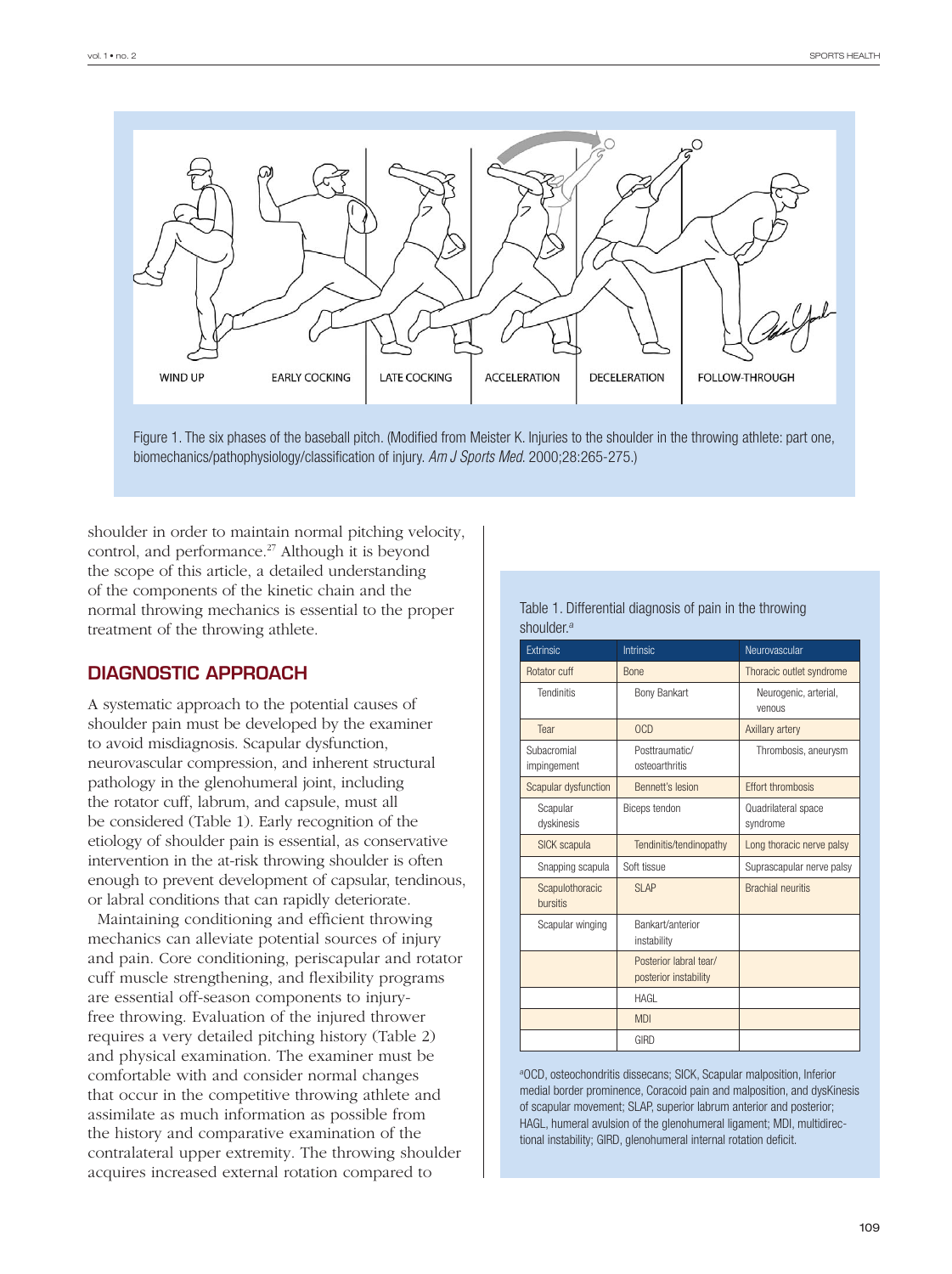

Figure 1. The six phases of the baseball pitch. (Modified from Meister K. Injuries to the shoulder in the throwing athlete: part one, biomechanics/pathophysiology/classification of injury. Am J Sports Med. 2000;28:265-275.)

shoulder in order to maintain normal pitching velocity, control, and performance.<sup>27</sup> Although it is beyond the scope of this article, a detailed understanding of the components of the kinetic chain and the normal throwing mechanics is essential to the proper treatment of the throwing athlete.

# **DIAGNOSTIC APPROACH**

A systematic approach to the potential causes of shoulder pain must be developed by the examiner to avoid misdiagnosis. Scapular dysfunction, neurovascular compression, and inherent structural pathology in the glenohumeral joint, including the rotator cuff, labrum, and capsule, must all be considered (Table 1). Early recognition of the etiology of shoulder pain is essential, as conservative intervention in the at-risk throwing shoulder is often enough to prevent development of capsular, tendinous, or labral conditions that can rapidly deteriorate.

Maintaining conditioning and efficient throwing mechanics can alleviate potential sources of injury and pain. Core conditioning, periscapular and rotator cuff muscle strengthening, and flexibility programs are essential off-season components to injuryfree throwing. Evaluation of the injured thrower requires a very detailed pitching history (Table 2) and physical examination. The examiner must be comfortable with and consider normal changes that occur in the competitive throwing athlete and assimilate as much information as possible from the history and comparative examination of the contralateral upper extremity. The throwing shoulder acquires increased external rotation compared to

| <b>Fxtrinsic</b>                   | <b>Intrinsic</b>                                | Neurovascular                   |
|------------------------------------|-------------------------------------------------|---------------------------------|
| Rotator cuff                       | <b>Bone</b>                                     | Thoracic outlet syndrome        |
| <b>Tendinitis</b>                  | <b>Bony Bankart</b>                             | Neurogenic, arterial,<br>venous |
| Tear                               | OCD                                             | Axillary artery                 |
| Subacromial<br>impingement         | Posttraumatic/<br>osteoarthritis                | Thrombosis, aneurysm            |
| Scapular dysfunction               | Bennett's lesion                                | <b>Effort thrombosis</b>        |
| Scapular<br>dyskinesis             | Biceps tendon                                   | Quadrilateral space<br>syndrome |
| SICK scapula                       | Tendinitis/tendinopathy                         | Long thoracic nerve palsy       |
| Snapping scapula                   | Soft tissue                                     | Suprascapular nerve palsy       |
| Scapulothoracic<br><b>hursitis</b> | SI AP                                           | <b>Brachial neuritis</b>        |
| Scapular winging                   | Bankart/anterior<br>instability                 |                                 |
|                                    | Posterior labral tear/<br>posterior instability |                                 |
|                                    | HAGI                                            |                                 |
|                                    | <b>MDI</b>                                      |                                 |
|                                    | GIRD                                            |                                 |

a OCD, osteochondritis dissecans; SICK, Scapular malposition, Inferior medial border prominence, Coracoid pain and malposition, and dysKinesis of scapular movement; SLAP, superior labrum anterior and posterior; HAGL, humeral avulsion of the glenohumeral ligament; MDI, multidirectional instability; GIRD, glenohumeral internal rotation deficit.

#### Table 1. Differential diagnosis of pain in the throwing shoulder.<sup>a</sup>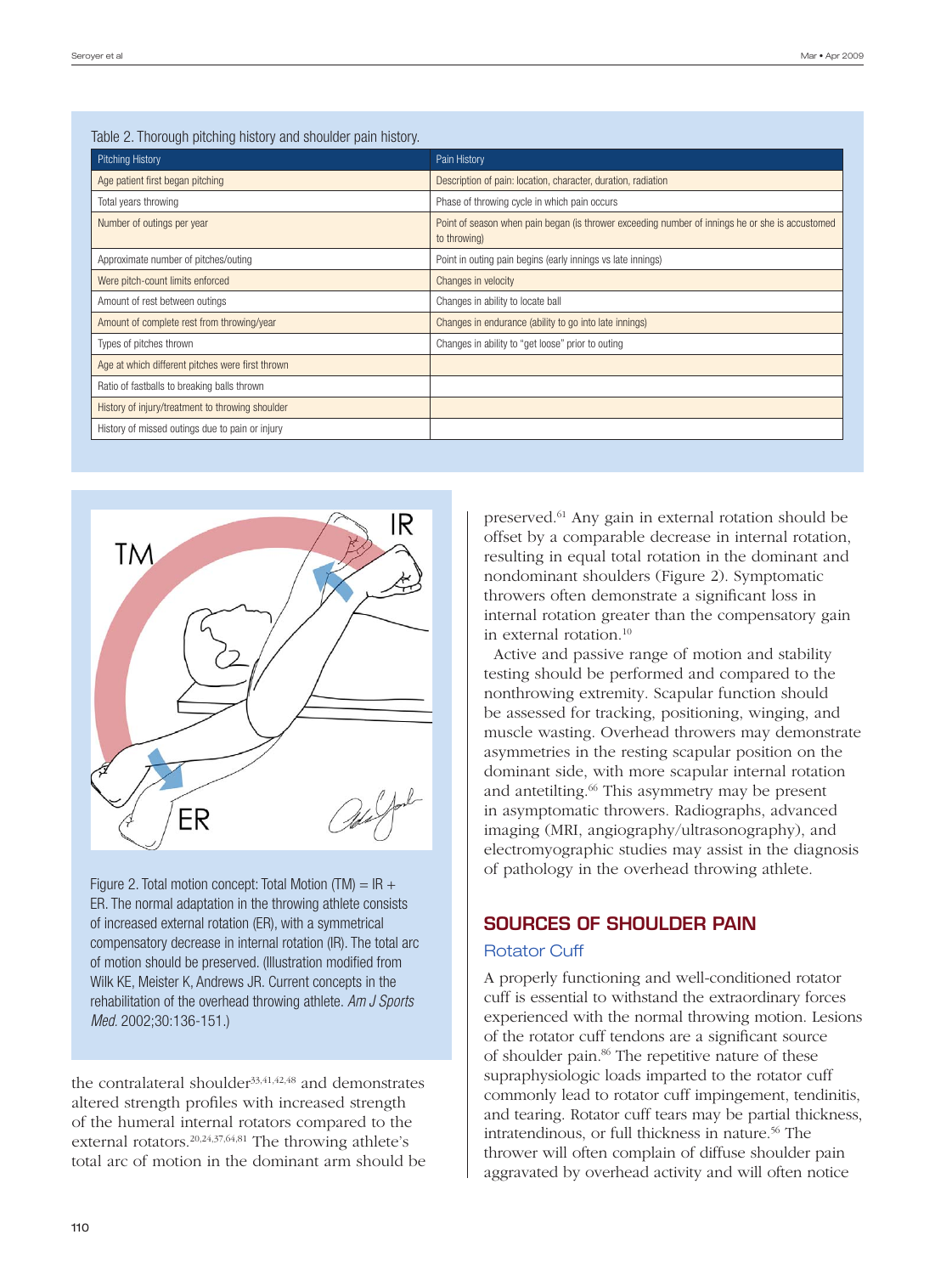| <b>Pitching History</b>                          | Pain History                                                                                                    |
|--------------------------------------------------|-----------------------------------------------------------------------------------------------------------------|
| Age patient first began pitching                 | Description of pain: location, character, duration, radiation                                                   |
| Total years throwing                             | Phase of throwing cycle in which pain occurs                                                                    |
| Number of outings per year                       | Point of season when pain began (is thrower exceeding number of innings he or she is accustomed<br>to throwing) |
| Approximate number of pitches/outing             | Point in outing pain begins (early innings vs late innings)                                                     |
| Were pitch-count limits enforced                 | Changes in velocity                                                                                             |
| Amount of rest between outings                   | Changes in ability to locate ball                                                                               |
| Amount of complete rest from throwing/year       | Changes in endurance (ability to go into late innings)                                                          |
| Types of pitches thrown                          | Changes in ability to "get loose" prior to outing                                                               |
| Age at which different pitches were first thrown |                                                                                                                 |
| Ratio of fastballs to breaking balls thrown      |                                                                                                                 |
| History of injury/treatment to throwing shoulder |                                                                                                                 |
| History of missed outings due to pain or injury  |                                                                                                                 |

#### Table 2. Thorough pitching history and shoulder pain history.



Figure 2. Total motion concept: Total Motion  $(TM) = IR +$ ER. The normal adaptation in the throwing athlete consists of increased external rotation (ER), with a symmetrical compensatory decrease in internal rotation (IR). The total arc of motion should be preserved. (Illustration modified from Wilk KE, Meister K, Andrews JR. Current concepts in the rehabilitation of the overhead throwing athlete. *Am J Sports Med.* 2002;30:136-151.)

the contralateral shoulder<sup>33,41,42,48</sup> and demonstrates altered strength profiles with increased strength of the humeral internal rotators compared to the external rotators.20,24,37,64,81 The throwing athlete's total arc of motion in the dominant arm should be preserved.61 Any gain in external rotation should be offset by a comparable decrease in internal rotation, resulting in equal total rotation in the dominant and nondominant shoulders (Figure 2). Symptomatic throwers often demonstrate a significant loss in internal rotation greater than the compensatory gain in external rotation.10

Active and passive range of motion and stability testing should be performed and compared to the nonthrowing extremity. Scapular function should be assessed for tracking, positioning, winging, and muscle wasting. Overhead throwers may demonstrate asymmetries in the resting scapular position on the dominant side, with more scapular internal rotation and antetilting.<sup>66</sup> This asymmetry may be present in asymptomatic throwers. Radiographs, advanced imaging (MRI, angiography/ultrasonography), and electromyographic studies may assist in the diagnosis of pathology in the overhead throwing athlete.

# **SOURCES OF SHOULDER PAIN**

# Rotator Cuff

A properly functioning and well-conditioned rotator cuff is essential to withstand the extraordinary forces experienced with the normal throwing motion. Lesions of the rotator cuff tendons are a significant source of shoulder pain.<sup>86</sup> The repetitive nature of these supraphysiologic loads imparted to the rotator cuff commonly lead to rotator cuff impingement, tendinitis, and tearing. Rotator cuff tears may be partial thickness, intratendinous, or full thickness in nature.<sup>56</sup> The thrower will often complain of diffuse shoulder pain aggravated by overhead activity and will often notice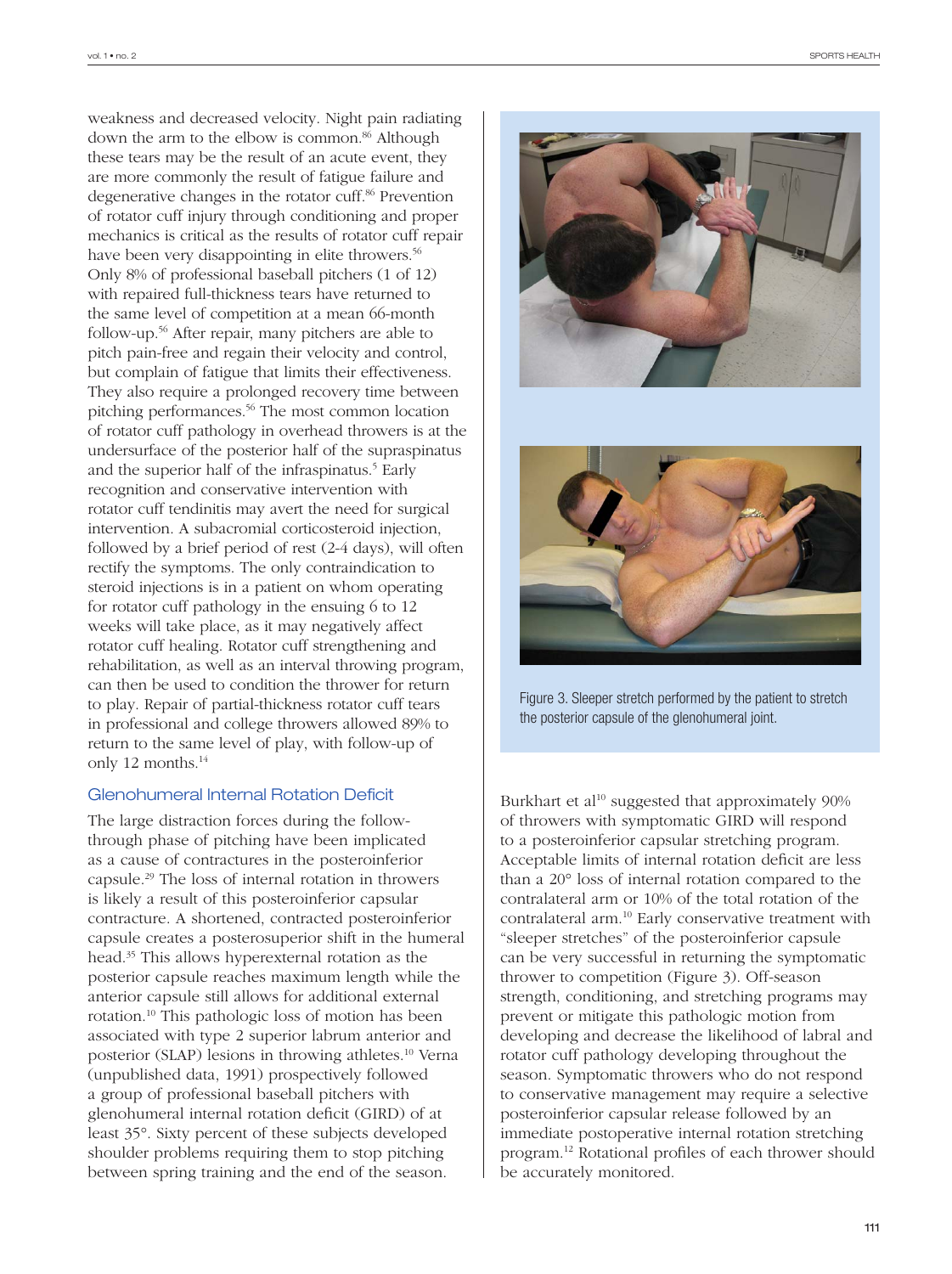weakness and decreased velocity. Night pain radiating down the arm to the elbow is common.<sup>86</sup> Although these tears may be the result of an acute event, they are more commonly the result of fatigue failure and degenerative changes in the rotator cuff.86 Prevention of rotator cuff injury through conditioning and proper mechanics is critical as the results of rotator cuff repair have been very disappointing in elite throwers.<sup>56</sup> Only 8% of professional baseball pitchers (1 of 12) with repaired full-thickness tears have returned to the same level of competition at a mean 66-month follow-up.56 After repair, many pitchers are able to pitch pain-free and regain their velocity and control, but complain of fatigue that limits their effectiveness. They also require a prolonged recovery time between pitching performances.56 The most common location of rotator cuff pathology in overhead throwers is at the undersurface of the posterior half of the supraspinatus and the superior half of the infraspinatus.<sup>5</sup> Early recognition and conservative intervention with rotator cuff tendinitis may avert the need for surgical intervention. A subacromial corticosteroid injection, followed by a brief period of rest (2-4 days), will often rectify the symptoms. The only contraindication to steroid injections is in a patient on whom operating for rotator cuff pathology in the ensuing 6 to 12 weeks will take place, as it may negatively affect rotator cuff healing. Rotator cuff strengthening and rehabilitation, as well as an interval throwing program, can then be used to condition the thrower for return to play. Repair of partial-thickness rotator cuff tears in professional and college throwers allowed 89% to return to the same level of play, with follow-up of only 12 months.14

# Glenohumeral Internal Rotation Deficit

The large distraction forces during the followthrough phase of pitching have been implicated as a cause of contractures in the posteroinferior capsule.29 The loss of internal rotation in throwers is likely a result of this posteroinferior capsular contracture. A shortened, contracted posteroinferior capsule creates a posterosuperior shift in the humeral head.35 This allows hyperexternal rotation as the posterior capsule reaches maximum length while the anterior capsule still allows for additional external rotation.10 This pathologic loss of motion has been associated with type 2 superior labrum anterior and posterior (SLAP) lesions in throwing athletes.10 Verna (unpublished data, 1991) prospectively followed a group of professional baseball pitchers with glenohumeral internal rotation deficit (GIRD) of at least 35°. Sixty percent of these subjects developed shoulder problems requiring them to stop pitching between spring training and the end of the season.





Figure 3. Sleeper stretch performed by the patient to stretch the posterior capsule of the glenohumeral joint.

Burkhart et al<sup>10</sup> suggested that approximately 90% of throwers with symptomatic GIRD will respond to a posteroinferior capsular stretching program. Acceptable limits of internal rotation deficit are less than a 20° loss of internal rotation compared to the contralateral arm or 10% of the total rotation of the contralateral arm.10 Early conservative treatment with "sleeper stretches" of the posteroinferior capsule can be very successful in returning the symptomatic thrower to competition (Figure 3). Off-season strength, conditioning, and stretching programs may prevent or mitigate this pathologic motion from developing and decrease the likelihood of labral and rotator cuff pathology developing throughout the season. Symptomatic throwers who do not respond to conservative management may require a selective posteroinferior capsular release followed by an immediate postoperative internal rotation stretching program.<sup>12</sup> Rotational profiles of each thrower should be accurately monitored.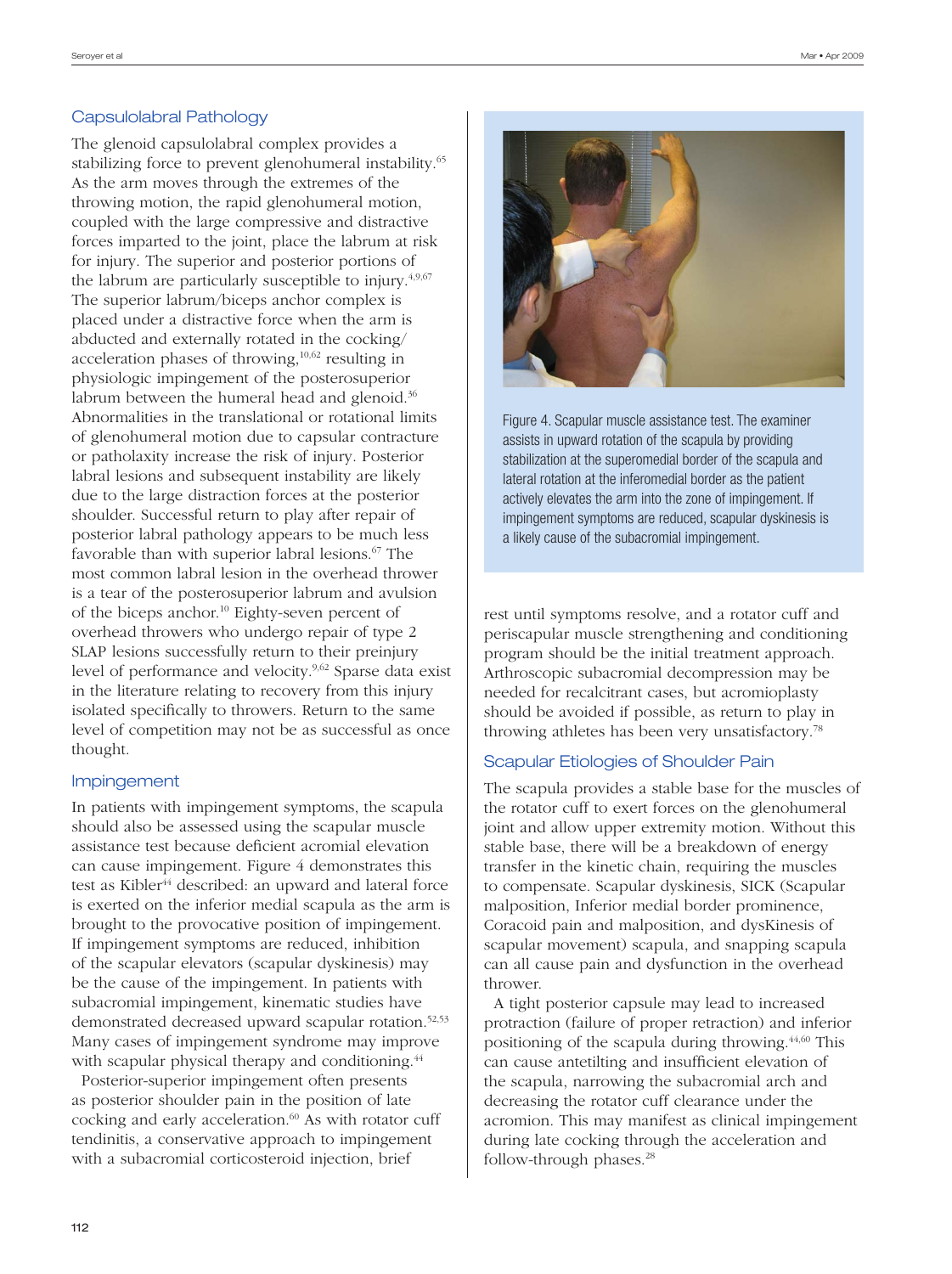#### Capsulolabral Pathology

The glenoid capsulolabral complex provides a stabilizing force to prevent glenohumeral instability.<sup>65</sup> As the arm moves through the extremes of the throwing motion, the rapid glenohumeral motion, coupled with the large compressive and distractive forces imparted to the joint, place the labrum at risk for injury. The superior and posterior portions of the labrum are particularly susceptible to injury.<sup>4,9,67</sup> The superior labrum/biceps anchor complex is placed under a distractive force when the arm is abducted and externally rotated in the cocking/ acceleration phases of throwing,10,62 resulting in physiologic impingement of the posterosuperior labrum between the humeral head and glenoid.<sup>36</sup> Abnormalities in the translational or rotational limits of glenohumeral motion due to capsular contracture or patholaxity increase the risk of injury. Posterior labral lesions and subsequent instability are likely due to the large distraction forces at the posterior shoulder. Successful return to play after repair of posterior labral pathology appears to be much less favorable than with superior labral lesions.<sup>67</sup> The most common labral lesion in the overhead thrower is a tear of the posterosuperior labrum and avulsion of the biceps anchor.10 Eighty-seven percent of overhead throwers who undergo repair of type 2 SLAP lesions successfully return to their preinjury level of performance and velocity.9,62 Sparse data exist in the literature relating to recovery from this injury isolated specifically to throwers. Return to the same level of competition may not be as successful as once thought.

#### Impingement

In patients with impingement symptoms, the scapula should also be assessed using the scapular muscle assistance test because deficient acromial elevation can cause impingement. Figure 4 demonstrates this test as Kibler<sup>44</sup> described: an upward and lateral force is exerted on the inferior medial scapula as the arm is brought to the provocative position of impingement. If impingement symptoms are reduced, inhibition of the scapular elevators (scapular dyskinesis) may be the cause of the impingement. In patients with subacromial impingement, kinematic studies have demonstrated decreased upward scapular rotation.<sup>52,53</sup> Many cases of impingement syndrome may improve with scapular physical therapy and conditioning.<sup>44</sup>

Posterior-superior impingement often presents as posterior shoulder pain in the position of late cocking and early acceleration.<sup>60</sup> As with rotator cuff tendinitis, a conservative approach to impingement with a subacromial corticosteroid injection, brief



Figure 4. Scapular muscle assistance test. The examiner assists in upward rotation of the scapula by providing stabilization at the superomedial border of the scapula and lateral rotation at the inferomedial border as the patient actively elevates the arm into the zone of impingement. If impingement symptoms are reduced, scapular dyskinesis is a likely cause of the subacromial impingement.

rest until symptoms resolve, and a rotator cuff and periscapular muscle strengthening and conditioning program should be the initial treatment approach. Arthroscopic subacromial decompression may be needed for recalcitrant cases, but acromioplasty should be avoided if possible, as return to play in throwing athletes has been very unsatisfactory.78

# Scapular Etiologies of Shoulder Pain

The scapula provides a stable base for the muscles of the rotator cuff to exert forces on the glenohumeral joint and allow upper extremity motion. Without this stable base, there will be a breakdown of energy transfer in the kinetic chain, requiring the muscles to compensate. Scapular dyskinesis, SICK (Scapular malposition, Inferior medial border prominence, Coracoid pain and malposition, and dysKinesis of scapular movement) scapula, and snapping scapula can all cause pain and dysfunction in the overhead thrower.

A tight posterior capsule may lead to increased protraction (failure of proper retraction) and inferior positioning of the scapula during throwing.44,60 This can cause antetilting and insufficient elevation of the scapula, narrowing the subacromial arch and decreasing the rotator cuff clearance under the acromion. This may manifest as clinical impingement during late cocking through the acceleration and follow-through phases.<sup>28</sup>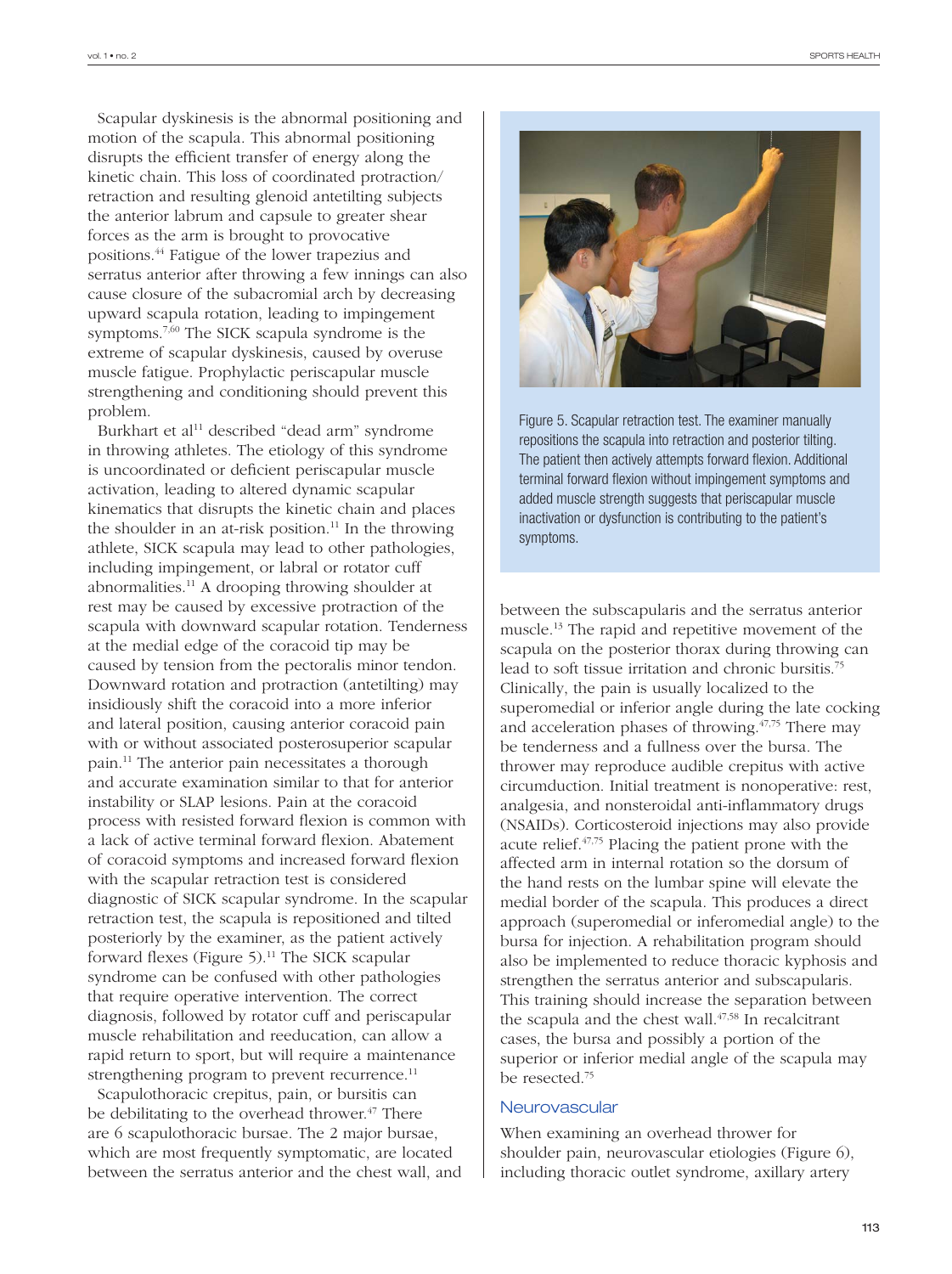Scapular dyskinesis is the abnormal positioning and motion of the scapula. This abnormal positioning disrupts the efficient transfer of energy along the kinetic chain. This loss of coordinated protraction/ retraction and resulting glenoid antetilting subjects the anterior labrum and capsule to greater shear forces as the arm is brought to provocative positions.44 Fatigue of the lower trapezius and serratus anterior after throwing a few innings can also cause closure of the subacromial arch by decreasing upward scapula rotation, leading to impingement symptoms.7,60 The SICK scapula syndrome is the extreme of scapular dyskinesis, caused by overuse muscle fatigue. Prophylactic periscapular muscle strengthening and conditioning should prevent this problem.

Burkhart et al<sup>11</sup> described "dead arm" syndrome in throwing athletes. The etiology of this syndrome is uncoordinated or deficient periscapular muscle activation, leading to altered dynamic scapular kinematics that disrupts the kinetic chain and places the shoulder in an at-risk position.<sup>11</sup> In the throwing athlete, SICK scapula may lead to other pathologies, including impingement, or labral or rotator cuff abnormalities.11 A drooping throwing shoulder at rest may be caused by excessive protraction of the scapula with downward scapular rotation. Tenderness at the medial edge of the coracoid tip may be caused by tension from the pectoralis minor tendon. Downward rotation and protraction (antetilting) may insidiously shift the coracoid into a more inferior and lateral position, causing anterior coracoid pain with or without associated posterosuperior scapular pain.11 The anterior pain necessitates a thorough and accurate examination similar to that for anterior instability or SLAP lesions. Pain at the coracoid process with resisted forward flexion is common with a lack of active terminal forward flexion. Abatement of coracoid symptoms and increased forward flexion with the scapular retraction test is considered diagnostic of SICK scapular syndrome. In the scapular retraction test, the scapula is repositioned and tilted posteriorly by the examiner, as the patient actively forward flexes (Figure 5).<sup>11</sup> The SICK scapular syndrome can be confused with other pathologies that require operative intervention. The correct diagnosis, followed by rotator cuff and periscapular muscle rehabilitation and reeducation, can allow a rapid return to sport, but will require a maintenance strengthening program to prevent recurrence.<sup>11</sup>

Scapulothoracic crepitus, pain, or bursitis can be debilitating to the overhead thrower.<sup>47</sup> There are 6 scapulothoracic bursae. The 2 major bursae, which are most frequently symptomatic, are located between the serratus anterior and the chest wall, and



Figure 5. Scapular retraction test. The examiner manually repositions the scapula into retraction and posterior tilting. The patient then actively attempts forward flexion. Additional terminal forward flexion without impingement symptoms and added muscle strength suggests that periscapular muscle inactivation or dysfunction is contributing to the patient's symptoms.

between the subscapularis and the serratus anterior muscle.13 The rapid and repetitive movement of the scapula on the posterior thorax during throwing can lead to soft tissue irritation and chronic bursitis.75 Clinically, the pain is usually localized to the superomedial or inferior angle during the late cocking and acceleration phases of throwing.<sup>47,75</sup> There may be tenderness and a fullness over the bursa. The thrower may reproduce audible crepitus with active circumduction. Initial treatment is nonoperative: rest, analgesia, and nonsteroidal anti-inflammatory drugs (NSAIDs). Corticosteroid injections may also provide acute relief.47,75 Placing the patient prone with the affected arm in internal rotation so the dorsum of the hand rests on the lumbar spine will elevate the medial border of the scapula. This produces a direct approach (superomedial or inferomedial angle) to the bursa for injection. A rehabilitation program should also be implemented to reduce thoracic kyphosis and strengthen the serratus anterior and subscapularis. This training should increase the separation between the scapula and the chest wall.<sup>47,58</sup> In recalcitrant cases, the bursa and possibly a portion of the superior or inferior medial angle of the scapula may be resected.75

#### **Neurovascular**

When examining an overhead thrower for shoulder pain, neurovascular etiologies (Figure 6), including thoracic outlet syndrome, axillary artery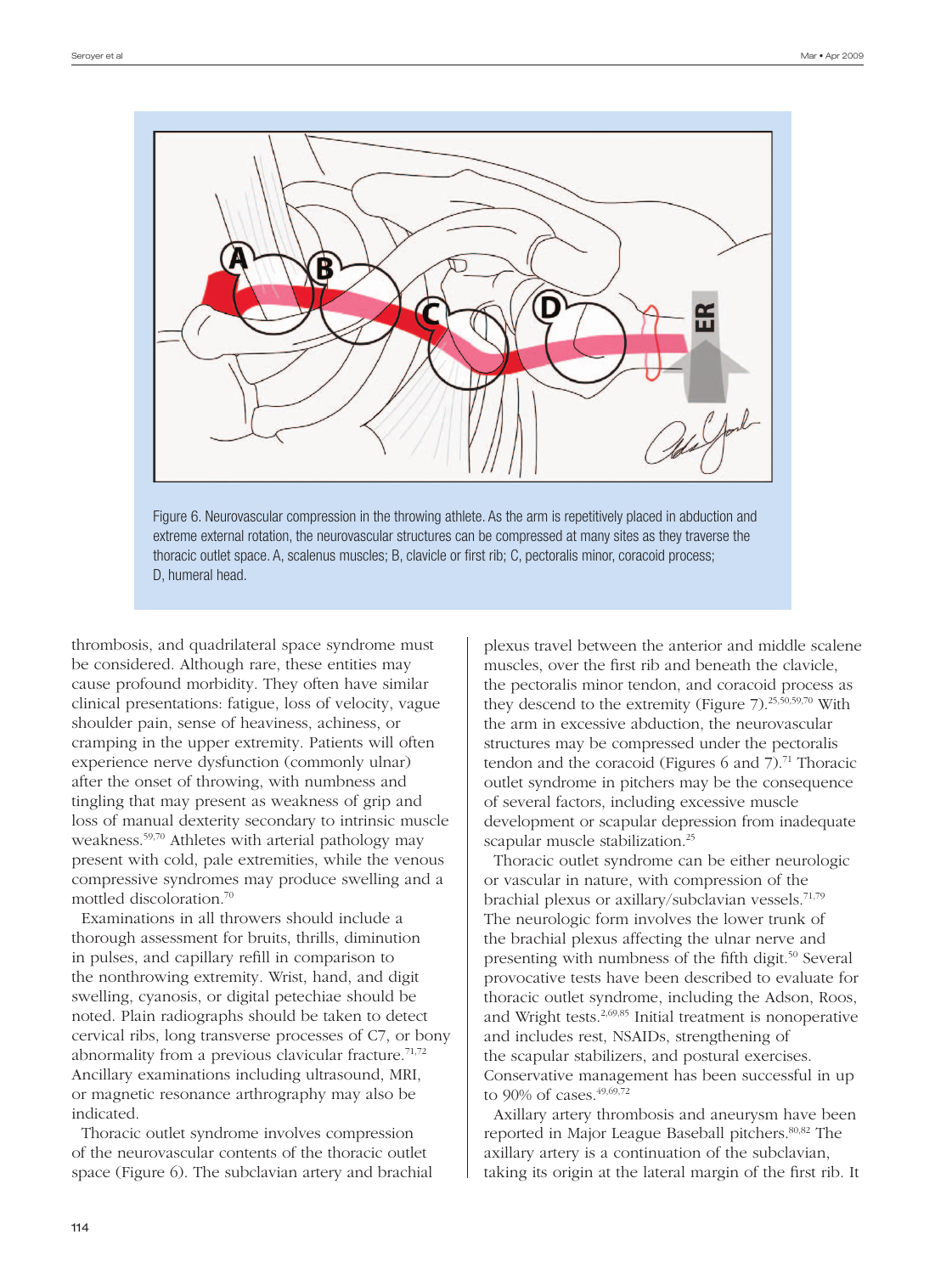

Figure 6. Neurovascular compression in the throwing athlete. As the arm is repetitively placed in abduction and extreme external rotation, the neurovascular structures can be compressed at many sites as they traverse the thoracic outlet space. A, scalenus muscles; B, clavicle or first rib; C, pectoralis minor, coracoid process; D, humeral head.

thrombosis, and quadrilateral space syndrome must be considered. Although rare, these entities may cause profound morbidity. They often have similar clinical presentations: fatigue, loss of velocity, vague shoulder pain, sense of heaviness, achiness, or cramping in the upper extremity. Patients will often experience nerve dysfunction (commonly ulnar) after the onset of throwing, with numbness and tingling that may present as weakness of grip and loss of manual dexterity secondary to intrinsic muscle weakness.59,70 Athletes with arterial pathology may present with cold, pale extremities, while the venous compressive syndromes may produce swelling and a mottled discoloration.70

Examinations in all throwers should include a thorough assessment for bruits, thrills, diminution in pulses, and capillary refill in comparison to the nonthrowing extremity. Wrist, hand, and digit swelling, cyanosis, or digital petechiae should be noted. Plain radiographs should be taken to detect cervical ribs, long transverse processes of C7, or bony abnormality from a previous clavicular fracture.<sup>71,72</sup> Ancillary examinations including ultrasound, MRI, or magnetic resonance arthrography may also be indicated.

Thoracic outlet syndrome involves compression of the neurovascular contents of the thoracic outlet space (Figure 6). The subclavian artery and brachial plexus travel between the anterior and middle scalene muscles, over the first rib and beneath the clavicle, the pectoralis minor tendon, and coracoid process as they descend to the extremity (Figure 7).<sup>25,50,59,70</sup> With the arm in excessive abduction, the neurovascular structures may be compressed under the pectoralis tendon and the coracoid (Figures  $6$  and  $7$ ).<sup>71</sup> Thoracic outlet syndrome in pitchers may be the consequence of several factors, including excessive muscle development or scapular depression from inadequate scapular muscle stabilization.<sup>25</sup>

Thoracic outlet syndrome can be either neurologic or vascular in nature, with compression of the brachial plexus or axillary/subclavian vessels.71,79 The neurologic form involves the lower trunk of the brachial plexus affecting the ulnar nerve and presenting with numbness of the fifth digit.<sup>50</sup> Several provocative tests have been described to evaluate for thoracic outlet syndrome, including the Adson, Roos, and Wright tests.2,69,85 Initial treatment is nonoperative and includes rest, NSAIDs, strengthening of the scapular stabilizers, and postural exercises. Conservative management has been successful in up to 90% of cases.  $49,69,72$ 

Axillary artery thrombosis and aneurysm have been reported in Major League Baseball pitchers.<sup>80,82</sup> The axillary artery is a continuation of the subclavian, taking its origin at the lateral margin of the first rib. It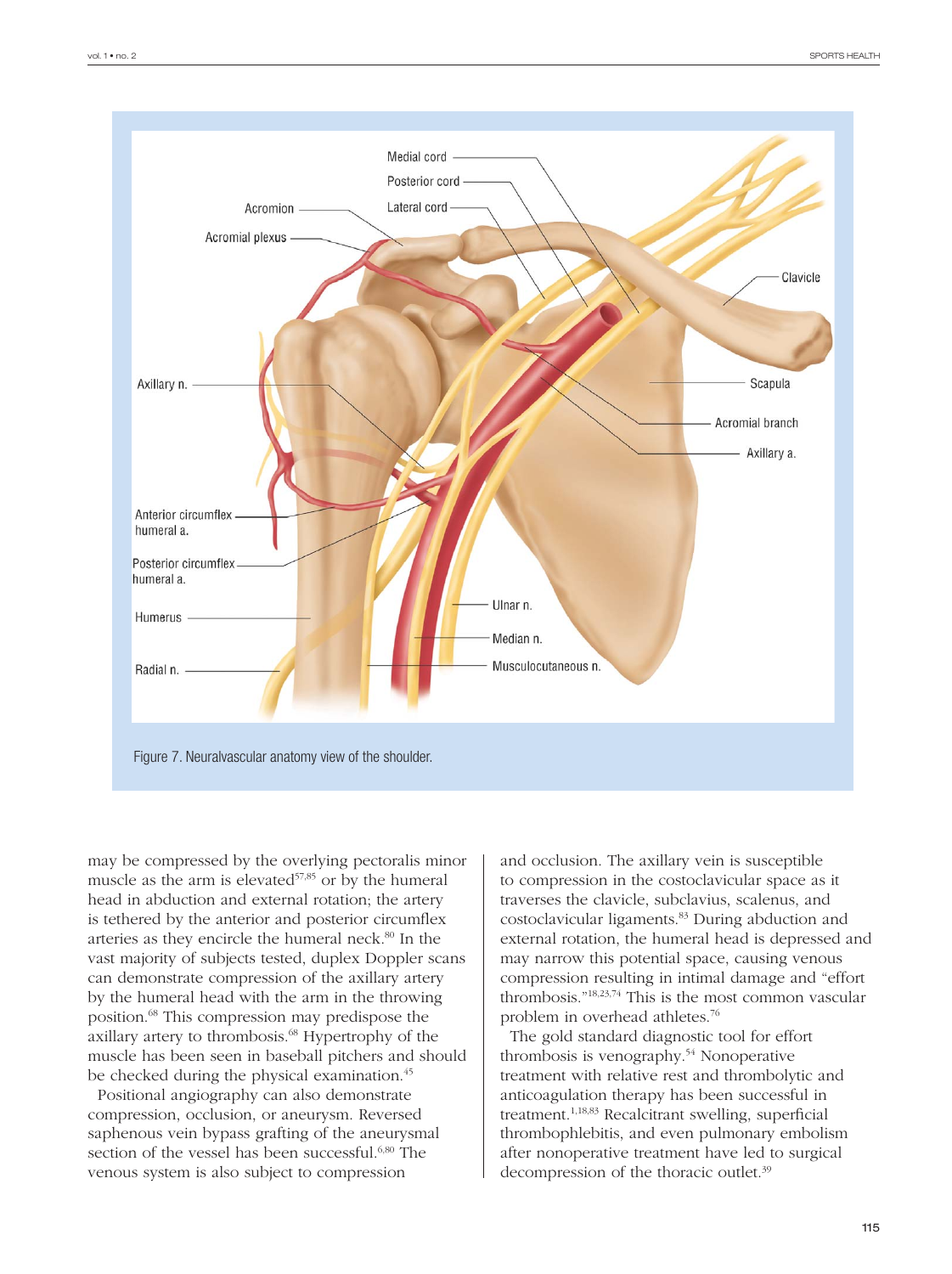

may be compressed by the overlying pectoralis minor muscle as the arm is elevated $57,85$  or by the humeral head in abduction and external rotation; the artery is tethered by the anterior and posterior circumflex arteries as they encircle the humeral neck.80 In the vast majority of subjects tested, duplex Doppler scans can demonstrate compression of the axillary artery by the humeral head with the arm in the throwing position.68 This compression may predispose the axillary artery to thrombosis.<sup>68</sup> Hypertrophy of the muscle has been seen in baseball pitchers and should be checked during the physical examination.<sup>45</sup>

Positional angiography can also demonstrate compression, occlusion, or aneurysm. Reversed saphenous vein bypass grafting of the aneurysmal section of the vessel has been successful.<sup>6,80</sup> The venous system is also subject to compression

and occlusion. The axillary vein is susceptible to compression in the costoclavicular space as it traverses the clavicle, subclavius, scalenus, and costoclavicular ligaments.83 During abduction and external rotation, the humeral head is depressed and may narrow this potential space, causing venous compression resulting in intimal damage and "effort thrombosis."18,23,74 This is the most common vascular problem in overhead athletes.76

The gold standard diagnostic tool for effort thrombosis is venography.54 Nonoperative treatment with relative rest and thrombolytic and anticoagulation therapy has been successful in treatment.<sup>1,18,83</sup> Recalcitrant swelling, superficial thrombophlebitis, and even pulmonary embolism after nonoperative treatment have led to surgical decompression of the thoracic outlet.39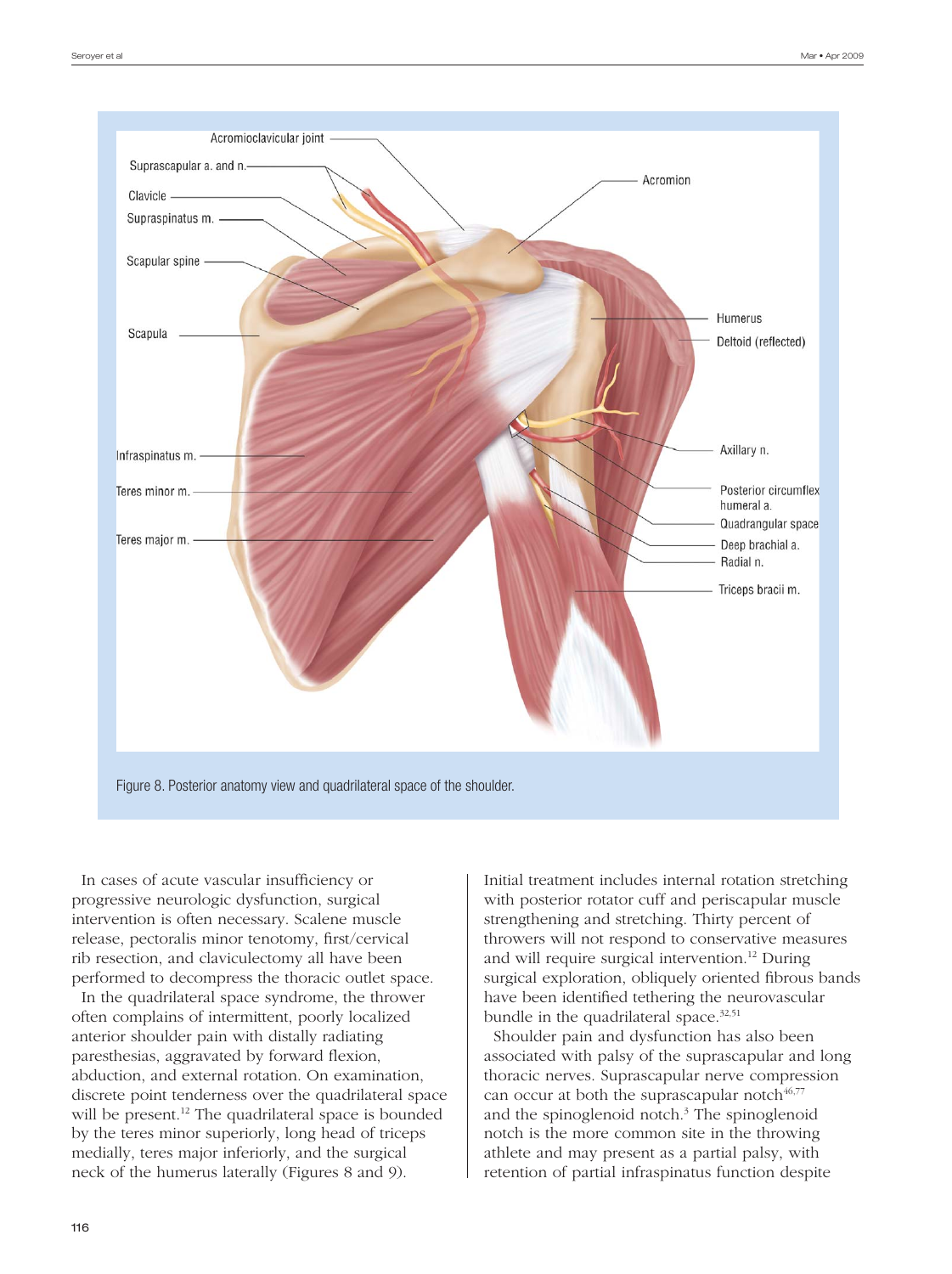

In cases of acute vascular insufficiency or progressive neurologic dysfunction, surgical intervention is often necessary. Scalene muscle release, pectoralis minor tenotomy, first/cervical rib resection, and claviculectomy all have been performed to decompress the thoracic outlet space.

In the quadrilateral space syndrome, the thrower often complains of intermittent, poorly localized anterior shoulder pain with distally radiating paresthesias, aggravated by forward flexion, abduction, and external rotation. On examination, discrete point tenderness over the quadrilateral space will be present.<sup>12</sup> The quadrilateral space is bounded by the teres minor superiorly, long head of triceps medially, teres major inferiorly, and the surgical neck of the humerus laterally (Figures 8 and 9).

Initial treatment includes internal rotation stretching with posterior rotator cuff and periscapular muscle strengthening and stretching. Thirty percent of throwers will not respond to conservative measures and will require surgical intervention.12 During surgical exploration, obliquely oriented fibrous bands have been identified tethering the neurovascular bundle in the quadrilateral space.<sup>32,51</sup>

Shoulder pain and dysfunction has also been associated with palsy of the suprascapular and long thoracic nerves. Suprascapular nerve compression can occur at both the suprascapular notch $46,77$ and the spinoglenoid notch.<sup>3</sup> The spinoglenoid notch is the more common site in the throwing athlete and may present as a partial palsy, with retention of partial infraspinatus function despite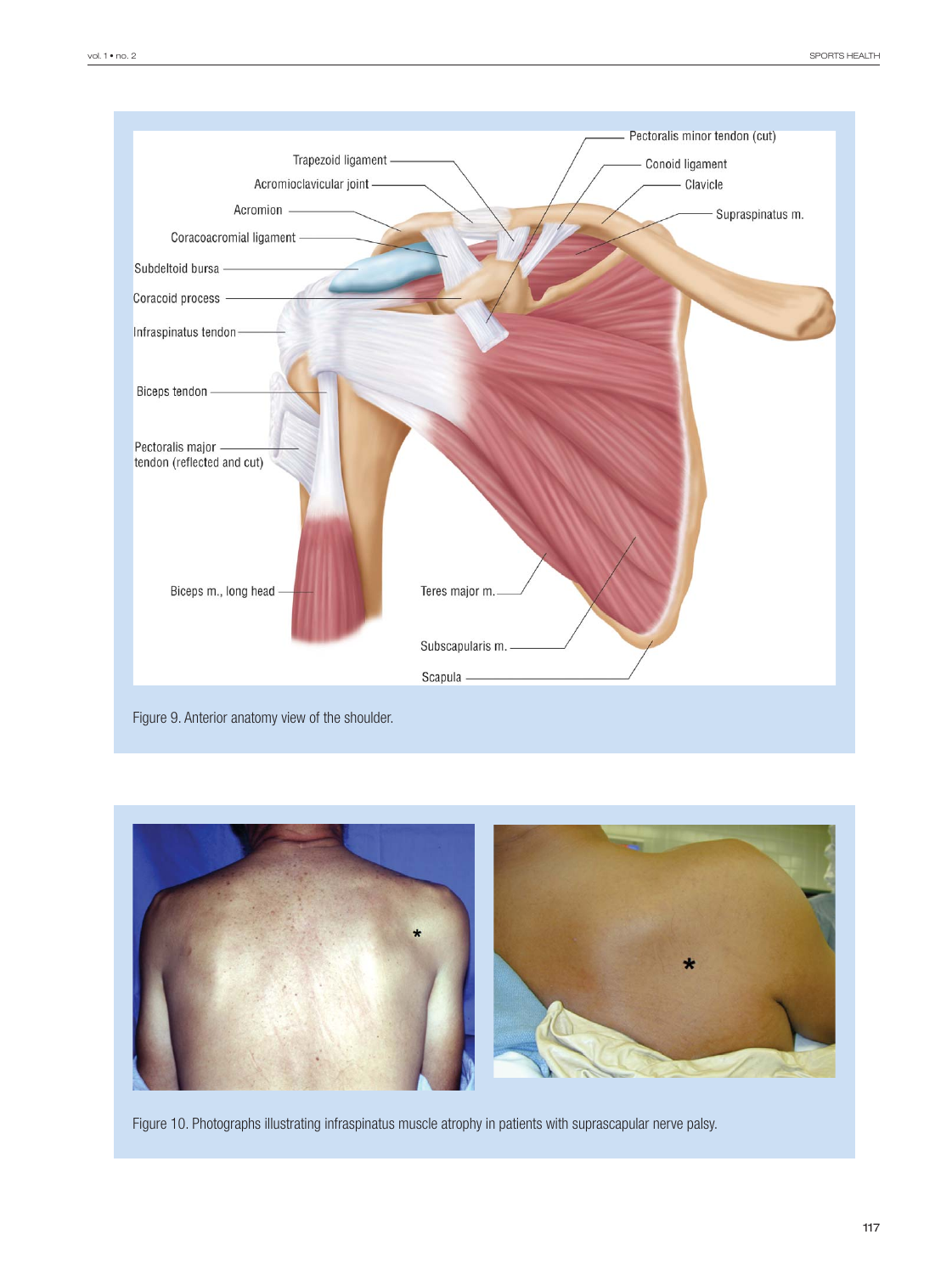



Figure 10. Photographs illustrating infraspinatus muscle atrophy in patients with suprascapular nerve palsy.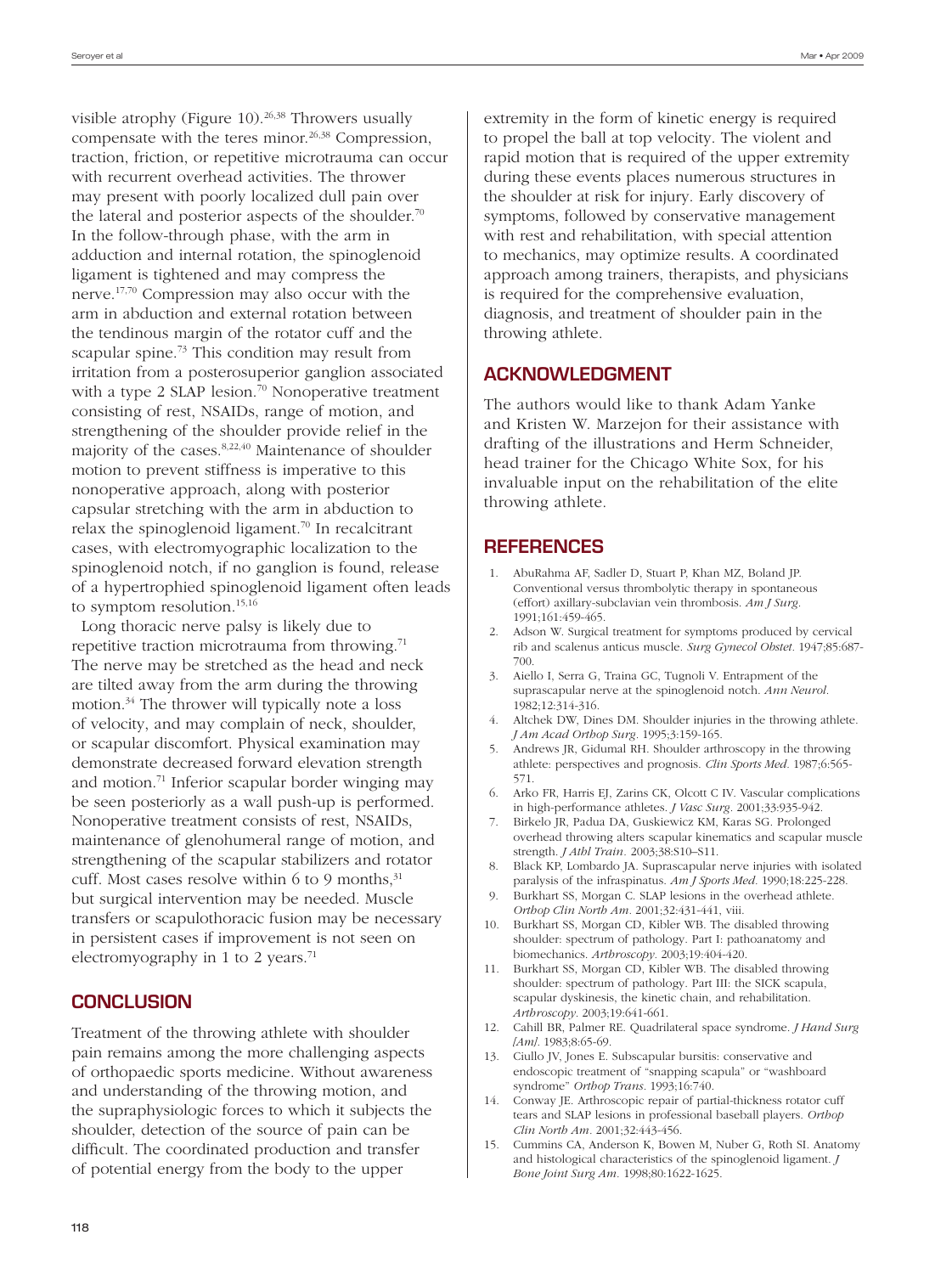visible atrophy (Figure 10).<sup>26,38</sup> Throwers usually compensate with the teres minor.<sup>26,38</sup> Compression, traction, friction, or repetitive microtrauma can occur with recurrent overhead activities. The thrower may present with poorly localized dull pain over the lateral and posterior aspects of the shoulder.<sup>70</sup> In the follow-through phase, with the arm in adduction and internal rotation, the spinoglenoid ligament is tightened and may compress the nerve.17,70 Compression may also occur with the arm in abduction and external rotation between the tendinous margin of the rotator cuff and the scapular spine.73 This condition may result from irritation from a posterosuperior ganglion associated with a type 2 SLAP lesion.<sup>70</sup> Nonoperative treatment consisting of rest, NSAIDs, range of motion, and strengthening of the shoulder provide relief in the majority of the cases.8,22,40 Maintenance of shoulder motion to prevent stiffness is imperative to this nonoperative approach, along with posterior capsular stretching with the arm in abduction to relax the spinoglenoid ligament.70 In recalcitrant cases, with electromyographic localization to the spinoglenoid notch, if no ganglion is found, release of a hypertrophied spinoglenoid ligament often leads to symptom resolution.15,16

Long thoracic nerve palsy is likely due to repetitive traction microtrauma from throwing.<sup>71</sup> The nerve may be stretched as the head and neck are tilted away from the arm during the throwing motion.34 The thrower will typically note a loss of velocity, and may complain of neck, shoulder, or scapular discomfort. Physical examination may demonstrate decreased forward elevation strength and motion.71 Inferior scapular border winging may be seen posteriorly as a wall push-up is performed. Nonoperative treatment consists of rest, NSAIDs, maintenance of glenohumeral range of motion, and strengthening of the scapular stabilizers and rotator cuff. Most cases resolve within 6 to 9 months, $31$ but surgical intervention may be needed. Muscle transfers or scapulothoracic fusion may be necessary in persistent cases if improvement is not seen on electromyography in 1 to 2 years.<sup>71</sup>

# **CONCLUSION**

Treatment of the throwing athlete with shoulder pain remains among the more challenging aspects of orthopaedic sports medicine. Without awareness and understanding of the throwing motion, and the supraphysiologic forces to which it subjects the shoulder, detection of the source of pain can be difficult. The coordinated production and transfer of potential energy from the body to the upper

extremity in the form of kinetic energy is required to propel the ball at top velocity. The violent and rapid motion that is required of the upper extremity during these events places numerous structures in the shoulder at risk for injury. Early discovery of symptoms, followed by conservative management with rest and rehabilitation, with special attention to mechanics, may optimize results. A coordinated approach among trainers, therapists, and physicians is required for the comprehensive evaluation, diagnosis, and treatment of shoulder pain in the throwing athlete.

# **ACKNOWLEDGMENT**

The authors would like to thank Adam Yanke and Kristen W. Marzejon for their assistance with drafting of the illustrations and Herm Schneider, head trainer for the Chicago White Sox, for his invaluable input on the rehabilitation of the elite throwing athlete.

# **REFERENCES**

- 1. AbuRahma AF, Sadler D, Stuart P, Khan MZ, Boland JP. Conventional versus thrombolytic therapy in spontaneous (effort) axillary-subclavian vein thrombosis. *Am J Surg.*  1991;161:459-465.
- 2. Adson W. Surgical treatment for symptoms produced by cervical rib and scalenus anticus muscle. *Surg Gynecol Obstet.* 1947;85:687- 700.
- 3. Aiello I, Serra G, Traina GC, Tugnoli V. Entrapment of the suprascapular nerve at the spinoglenoid notch. *Ann Neurol.*  1982;12:314-316.
- 4. Altchek DW, Dines DM. Shoulder injuries in the throwing athlete. *J Am Acad Orthop Surg.* 1995;3:159-165.
- 5. Andrews JR, Gidumal RH. Shoulder arthroscopy in the throwing athlete: perspectives and prognosis. *Clin Sports Med.* 1987;6:565- 571.
- 6. Arko FR, Harris EJ, Zarins CK, Olcott C IV. Vascular complications in high-performance athletes. *J Vasc Surg.* 2001;33:935-942.
- 7. Birkelo JR, Padua DA, Guskiewicz KM, Karas SG. Prolonged overhead throwing alters scapular kinematics and scapular muscle strength. *J Athl Train.* 2003;38:S10–S11.
- 8. Black KP, Lombardo JA. Suprascapular nerve injuries with isolated paralysis of the infraspinatus. *Am J Sports Med.* 1990;18:225-228.
- 9. Burkhart SS, Morgan C. SLAP lesions in the overhead athlete. *Orthop Clin North Am.* 2001;32:431-441, viii.
- 10. Burkhart SS, Morgan CD, Kibler WB. The disabled throwing shoulder: spectrum of pathology. Part I: pathoanatomy and biomechanics. *Arthroscopy.* 2003;19:404-420.
- 11. Burkhart SS, Morgan CD, Kibler WB. The disabled throwing shoulder: spectrum of pathology. Part III: the SICK scapula, scapular dyskinesis, the kinetic chain, and rehabilitation. *Arthroscopy.* 2003;19:641-661.
- 12. Cahill BR, Palmer RE. Quadrilateral space syndrome. *J Hand Surg [Am].* 1983;8:65-69.
- 13. Ciullo JV, Jones E. Subscapular bursitis: conservative and endoscopic treatment of "snapping scapula" or "washboard syndrome" *Orthop Trans.* 1993;16:740.
- 14. Conway JE. Arthroscopic repair of partial-thickness rotator cuff tears and SLAP lesions in professional baseball players. *Orthop Clin North Am.* 2001;32:443-456.
- 15. Cummins CA, Anderson K, Bowen M, Nuber G, Roth SI. Anatomy and histological characteristics of the spinoglenoid ligament. *J Bone Joint Surg Am.* 1998;80:1622-1625.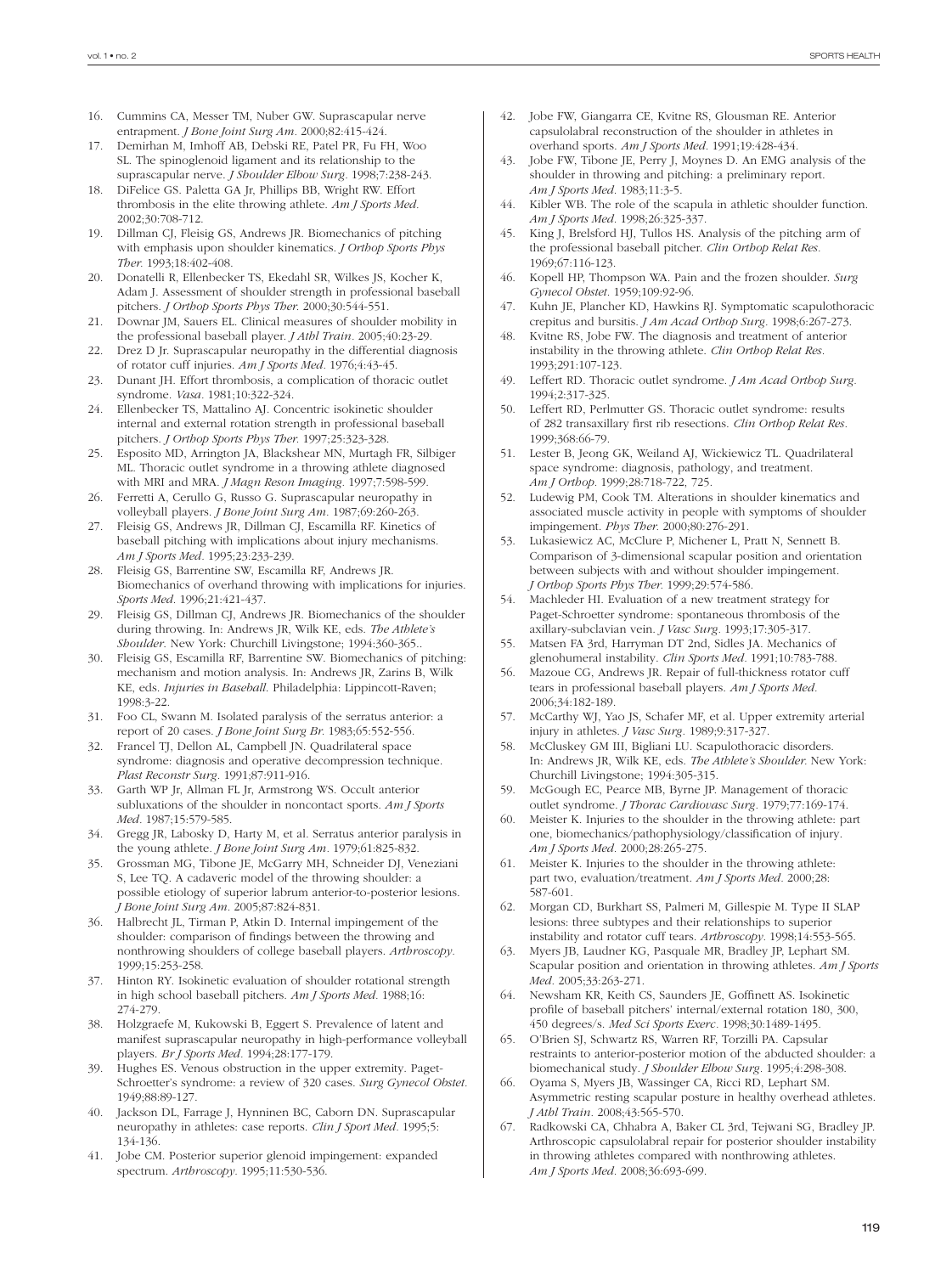- 16. Cummins CA, Messer TM, Nuber GW. Suprascapular nerve entrapment. *J Bone Joint Surg Am.* 2000;82:415-424.
- 17. Demirhan M, Imhoff AB, Debski RE, Patel PR, Fu FH, Woo SL. The spinoglenoid ligament and its relationship to the suprascapular nerve. *J Shoulder Elbow Surg.* 1998;7:238-243.
- 18. DiFelice GS. Paletta GA Jr, Phillips BB, Wright RW. Effort thrombosis in the elite throwing athlete. *Am J Sports Med.*  2002;30:708-712.
- 19. Dillman CJ, Fleisig GS, Andrews JR. Biomechanics of pitching with emphasis upon shoulder kinematics. *J Orthop Sports Phys Ther.* 1993;18:402-408.
- 20. Donatelli R, Ellenbecker TS, Ekedahl SR, Wilkes JS, Kocher K, Adam J. Assessment of shoulder strength in professional baseball pitchers. *J Orthop Sports Phys Ther.* 2000;30:544-551.
- 21. Downar JM, Sauers EL. Clinical measures of shoulder mobility in the professional baseball player. *J Athl Train.* 2005;40:23-29.
- 22. Drez D Jr. Suprascapular neuropathy in the differential diagnosis of rotator cuff injuries. *Am J Sports Med.* 1976;4:43-45.
- 23. Dunant JH. Effort thrombosis, a complication of thoracic outlet syndrome. *Vasa.* 1981;10:322-324.
- 24. Ellenbecker TS, Mattalino AJ. Concentric isokinetic shoulder internal and external rotation strength in professional baseball pitchers. *J Orthop Sports Phys Ther.* 1997;25:323-328.
- 25. Esposito MD, Arrington JA, Blackshear MN, Murtagh FR, Silbiger ML. Thoracic outlet syndrome in a throwing athlete diagnosed with MRI and MRA. *J Magn Reson Imaging.* 1997;7:598-599.
- 26. Ferretti A, Cerullo G, Russo G. Suprascapular neuropathy in volleyball players. *J Bone Joint Surg Am.* 1987;69:260-263.
- 27. Fleisig GS, Andrews JR, Dillman CJ, Escamilla RF. Kinetics of baseball pitching with implications about injury mechanisms. *Am J Sports Med.* 1995;23:233-239.
- 28. Fleisig GS, Barrentine SW, Escamilla RF, Andrews JR. Biomechanics of overhand throwing with implications for injuries. *Sports Med.* 1996;21:421-437.
- 29. Fleisig GS, Dillman CJ, Andrews JR. Biomechanics of the shoulder during throwing. In: Andrews JR, Wilk KE, eds. *The Athlete's Shoulder*. New York: Churchill Livingstone; 1994:360-365..
- 30. Fleisig GS, Escamilla RF, Barrentine SW. Biomechanics of pitching: mechanism and motion analysis. In: Andrews JR, Zarins B, Wilk KE, eds. *Injuries in Baseball*. Philadelphia: Lippincott-Raven; 1998:3-22.
- 31. Foo CL, Swann M. Isolated paralysis of the serratus anterior: a report of 20 cases. *J Bone Joint Surg Br.* 1983;65:552-556.
- 32. Francel TJ, Dellon AL, Campbell JN. Quadrilateral space syndrome: diagnosis and operative decompression technique. *Plast Reconstr Surg.* 1991;87:911-916.
- 33. Garth WP Jr, Allman FL Jr, Armstrong WS. Occult anterior subluxations of the shoulder in noncontact sports. *Am J Sports Med.* 1987;15:579-585.
- 34. Gregg JR, Labosky D, Harty M, et al. Serratus anterior paralysis in the young athlete. *J Bone Joint Surg Am.* 1979;61:825-832.
- 35. Grossman MG, Tibone JE, McGarry MH, Schneider DJ, Veneziani S, Lee TQ. A cadaveric model of the throwing shoulder: a possible etiology of superior labrum anterior-to-posterior lesions. *J Bone Joint Surg Am.* 2005;87:824-831.
- 36. Halbrecht JL, Tirman P, Atkin D. Internal impingement of the shoulder: comparison of findings between the throwing and nonthrowing shoulders of college baseball players. *Arthroscopy.*  1999;15:253-258.
- 37. Hinton RY. Isokinetic evaluation of shoulder rotational strength in high school baseball pitchers. *Am J Sports Med.* 1988;16: 274-279.
- 38. Holzgraefe M, Kukowski B, Eggert S. Prevalence of latent and manifest suprascapular neuropathy in high-performance volleyball players. *Br J Sports Med.* 1994;28:177-179.
- 39. Hughes ES. Venous obstruction in the upper extremity. Paget-Schroetter's syndrome: a review of 320 cases. *Surg Gynecol Obstet.*  1949;88:89-127.
- 40. Jackson DL, Farrage J, Hynninen BC, Caborn DN. Suprascapular neuropathy in athletes: case reports. *Clin J Sport Med.* 1995;5: 134-136.
- 41. Jobe CM. Posterior superior glenoid impingement: expanded spectrum. *Arthroscopy.* 1995;11:530-536.
- 42. Jobe FW, Giangarra CE, Kvitne RS, Glousman RE. Anterior capsulolabral reconstruction of the shoulder in athletes in overhand sports. *Am J Sports Med.* 1991;19:428-434.
- 43. Jobe FW, Tibone JE, Perry J, Moynes D. An EMG analysis of the shoulder in throwing and pitching: a preliminary report. *Am J Sports Med.* 1983;11:3-5.
- 44. Kibler WB. The role of the scapula in athletic shoulder function. *Am J Sports Med.* 1998;26:325-337.
- 45. King J, Brelsford HJ, Tullos HS. Analysis of the pitching arm of the professional baseball pitcher. *Clin Orthop Relat Res.*  1969;67:116-123.
- 46. Kopell HP, Thompson WA. Pain and the frozen shoulder. *Surg Gynecol Obstet.* 1959;109:92-96.
- 47. Kuhn JE, Plancher KD, Hawkins RJ. Symptomatic scapulothoracic crepitus and bursitis. *J Am Acad Orthop Surg.* 1998;6:267-273.
- 48. Kvitne RS, Jobe FW. The diagnosis and treatment of anterior instability in the throwing athlete. *Clin Orthop Relat Res.*  1993;291:107-123.
- 49. Leffert RD. Thoracic outlet syndrome. *J Am Acad Orthop Surg.*  1994;2:317-325.
- 50. Leffert RD, Perlmutter GS. Thoracic outlet syndrome: results of 282 transaxillary first rib resections. *Clin Orthop Relat Res.* 1999;368:66-79.
- 51. Lester B, Jeong GK, Weiland AJ, Wickiewicz TL. Quadrilateral space syndrome: diagnosis, pathology, and treatment. *Am J Orthop.* 1999;28:718-722, 725.
- 52. Ludewig PM, Cook TM. Alterations in shoulder kinematics and associated muscle activity in people with symptoms of shoulder impingement. *Phys Ther.* 2000;80:276-291.
- 53. Lukasiewicz AC, McClure P, Michener L, Pratt N, Sennett B. Comparison of 3-dimensional scapular position and orientation between subjects with and without shoulder impingement. *J Orthop Sports Phys Ther.* 1999;29:574-586.
- 54. Machleder HI. Evaluation of a new treatment strategy for Paget-Schroetter syndrome: spontaneous thrombosis of the axillary-subclavian vein. *J Vasc Surg.* 1993;17:305-317.
- 55. Matsen FA 3rd, Harryman DT 2nd, Sidles JA. Mechanics of glenohumeral instability. *Clin Sports Med.* 1991;10:783-788.
- 56. Mazoue CG, Andrews JR. Repair of full-thickness rotator cuff tears in professional baseball players. *Am J Sports Med.*  2006;34:182-189.
- 57. McCarthy WJ, Yao JS, Schafer MF, et al. Upper extremity arterial injury in athletes. *J Vasc Surg.* 1989;9:317-327.
- 58. McCluskey GM III, Bigliani LU. Scapulothoracic disorders. In: Andrews JR, Wilk KE, eds. *The Athlete's Shoulder.* New York: Churchill Livingstone; 1994:305-315.
- 59. McGough EC, Pearce MB, Byrne JP. Management of thoracic outlet syndrome. *J Thorac Cardiovasc Surg.* 1979;77:169-174.
- Meister K. Injuries to the shoulder in the throwing athlete: part one, biomechanics/pathophysiology/classification of injury. *Am J Sports Med.* 2000;28:265-275.
- 61. Meister K. Injuries to the shoulder in the throwing athlete: part two, evaluation/treatment. *Am J Sports Med.* 2000;28: 587-601.
- 62. Morgan CD, Burkhart SS, Palmeri M, Gillespie M. Type II SLAP lesions: three subtypes and their relationships to superior instability and rotator cuff tears. *Arthroscopy.* 1998;14:553-565.
- 63. Myers JB, Laudner KG, Pasquale MR, Bradley JP, Lephart SM. Scapular position and orientation in throwing athletes. *Am J Sports Med.* 2005;33:263-271.
- 64. Newsham KR, Keith CS, Saunders JE, Goffinett AS. Isokinetic profile of baseball pitchers' internal/external rotation 180, 300, 450 degrees/s. *Med Sci Sports Exerc.* 1998;30:1489-1495.
- 65. O'Brien SJ, Schwartz RS, Warren RF, Torzilli PA. Capsular restraints to anterior-posterior motion of the abducted shoulder: a biomechanical study. *J Shoulder Elbow Surg.* 1995;4:298-308.
- 66. Oyama S, Myers JB, Wassinger CA, Ricci RD, Lephart SM. Asymmetric resting scapular posture in healthy overhead athletes. *J Athl Train.* 2008;43:565-570.
- 67. Radkowski CA, Chhabra A, Baker CL 3rd, Tejwani SG, Bradley JP. Arthroscopic capsulolabral repair for posterior shoulder instability in throwing athletes compared with nonthrowing athletes. *Am J Sports Med.* 2008;36:693-699.